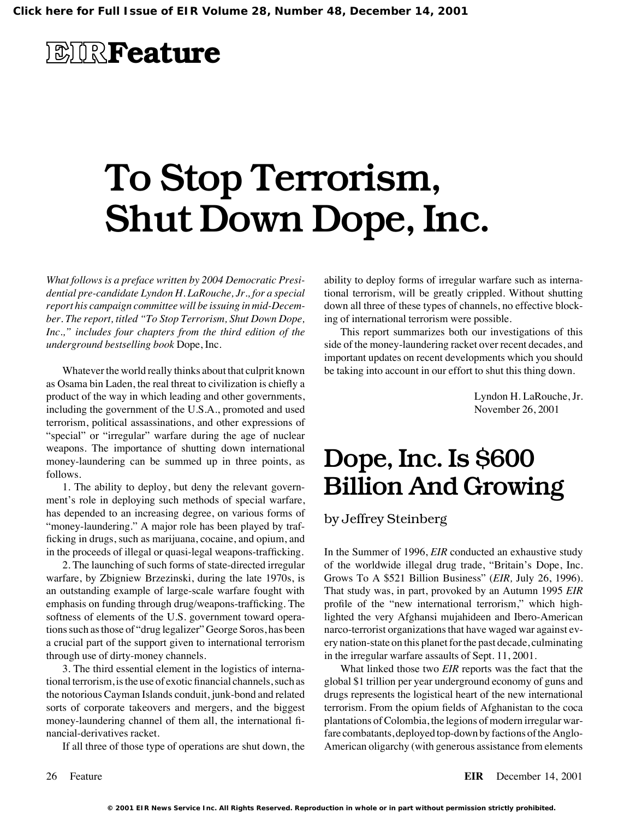## **EIRFeature**

# To Stop Terrorism, Shut Down Dope, Inc.

*What follows is a preface written by 2004 Democratic Presi-* ability to deploy forms of irregular warfare such as interna*dential pre-candidate Lyndon H. LaRouche, Jr., for a special* tional terrorism, will be greatly crippled. Without shutting *report his campaign committee will be issuing in mid-Decem-* down all three of these types of channels, no effective block*ber. The report, titled "To Stop Terrorism, Shut Down Dope,* ing of international terrorism were possible. *Inc.," includes four chapters from the third edition of the* This report summarizes both our investigations of this *underground bestselling book* Dope, Inc. side of the money-laundering racket over recent decades, and

as Osama bin Laden, the real threat to civilization is chiefly a product of the way in which leading and other governments, Lyndon H. LaRouche, Jr. including the government of the U.S.A., promoted and used November 26, 2001 terrorism, political assassinations, and other expressions of "special" or "irregular" warfare during the age of nuclear weapons. The importance of shutting down international money-laundering can be summed up in three points, as  $\sum$ Ope, Inc. Is \$600 follows.

1. The ability to deploy, but deny the relevant govern-<br>ment's role in deploying such methods of special warfare, has depended to an increasing degree, on various forms of by Jeffrey Steinberg "money-laundering." A major role has been played by trafficking in drugs, such as marijuana, cocaine, and opium, and

warfare, by Zbigniew Brzezinski, during the late 1970s, is Grows To A \$521 Billion Business" (*EIR,* July 26, 1996). an outstanding example of large-scale warfare fought with That study was, in part, provoked by an Autumn 1995 *EIR* emphasis on funding through drug/weapons-trafficking. The profile of the "new international terrorism," which highsoftness of elements of the U.S. government toward opera-<br>lighted the very Afghansi mujahideen and Ibero-American tions such as those of "drug legalizer" George Soros, has been narco-terrorist organizations that have waged war against eva crucial part of the support given to international terrorism ery nation-state on this planet for the past decade, culminating through use of dirty-money channels. in the irregular warfare assaults of Sept. 11, 2001.

tional terrorism, is the use of exotic financial channels, such as global \$1 trillion per year underground economy of guns and the notorious Cayman Islands conduit, junk-bond and related drugs represents the logistical heart of the new international sorts of corporate takeovers and mergers, and the biggest terrorism. From the opium fields of Afghanistan to the coca money-laundering channel of them all, the international fi- plantations of Colombia, the legions of modern irregular warnancial-derivatives racket. fare combatants, deployed top-down by factions of the Anglo-

important updates on recent developments which you should Whatever the world really thinks about that culprit known be taking into account in our effort to shut this thing down.

in the proceeds of illegal or quasi-legal weapons-trafficking. In the Summer of 1996, *EIR* conducted an exhaustive study 2. The launching of such forms of state-directed irregular of the worldwide illegal drug trade, "Britain's Dope, Inc.

3. The third essential element in the logistics of interna- What linked those two *EIR* reports was the fact that the If all three of those type of operations are shut down, the American oligarchy (with generous assistance from elements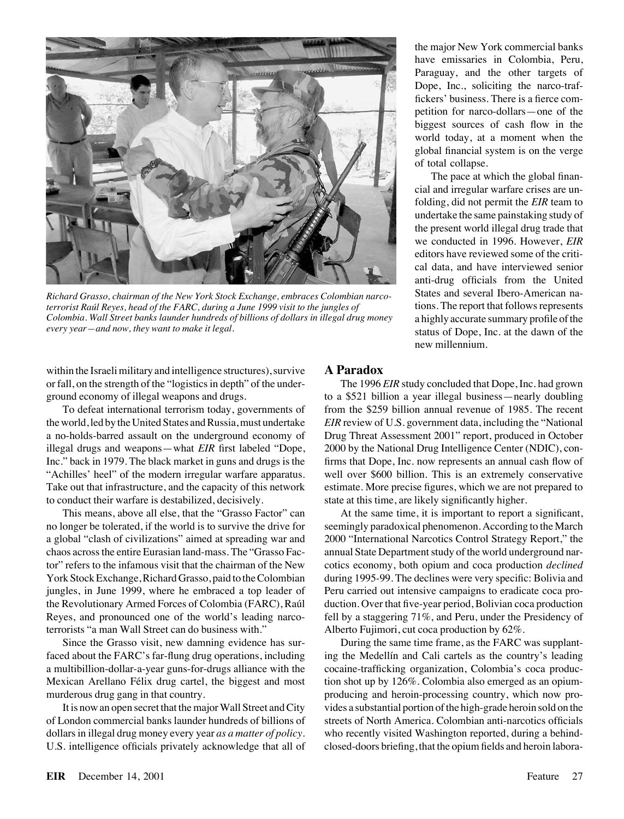

*Richard Grasso, chairman of the New York Stock Exchange, embraces Colombian narco-* States and several Ibero-American na*terrorist Raúl Reyes, head of the FARC, during a June 1999 visit to the jungles of Colombia. Wall Street banks launder hundreds of billions of dollars in illegal drug money* a highly accurate summary profile of the *every year—and now, they want to make it legal.* status of Dope, Inc. at the dawn of the

within the Israeli military and intelligence structures), survive **A Paradox**

the world, led by the United States and Russia, must undertake *EIR* review of U.S. government data, including the "National a no-holds-barred assault on the underground economy of Drug Threat Assessment 2001" report, produced in October illegal drugs and weapons—what *EIR* first labeled "Dope, 2000 by the National Drug Intelligence Center (NDIC), con-Inc." back in 1979. The black market in guns and drugs is the firms that Dope, Inc. now represents an annual cash flow of "Achilles' heel" of the modern irregular warfare apparatus. well over \$600 billion. This is an extremely conservative Take out that infrastructure, and the capacity of this network estimate. More precise figures, which we are not prepared to to conduct their warfare is destabilized, decisively. state at this time, are likely significantly higher.

terrorists "a man Wall Street can do business with." Alberto Fujimori, cut coca production by 62%.

faced about the FARC's far-flung drug operations, including ing the Medellín and Cali cartels as the country's leading a multibillion-dollar-a-year guns-for-drugs alliance with the cocaine-trafficking organization, Colombia's coca produc-Mexican Arellano Félix drug cartel, the biggest and most tion shot up by 126%. Colombia also emerged as an opiummurderous drug gang in that country. **producing and heroin-processing country**, which now pro-

of London commercial banks launder hundreds of billions of streets of North America. Colombian anti-narcotics officials dollars in illegal drug money every year *as a matter of policy.* who recently visited Washington reported, during a behind-U.S. intelligence officials privately acknowledge that all of closed-doors briefing, that the opium fields and heroin labora-

or fall, on the strength of the "logistics in depth" of the under- The 1996 *EIR* study concluded that Dope, Inc. had grown ground economy of illegal weapons and drugs. to a \$521 billion a year illegal business—nearly doubling To defeat international terrorism today, governments of from the \$259 billion annual revenue of 1985. The recent

This means, above all else, that the "Grasso Factor" can At the same time, it is important to report a significant, no longer be tolerated, if the world is to survive the drive for seemingly paradoxical phenomenon. According to the March a global "clash of civilizations" aimed at spreading war and 2000 "International Narcotics Control Strategy Report," the chaos across the entire Eurasian land-mass. The "Grasso Fac- annual State Department study of the world underground nartor" refers to the infamous visit that the chairman of the New cotics economy, both opium and coca production *declined* York Stock Exchange, Richard Grasso, paid to the Colombian during 1995-99. The declines were very specific: Bolivia and jungles, in June 1999, where he embraced a top leader of Peru carried out intensive campaigns to eradicate coca prothe Revolutionary Armed Forces of Colombia (FARC), Raul duction. Over that five-year period, Bolivian coca production Reyes, and pronounced one of the world's leading narco- fell by a staggering 71%, and Peru, under the Presidency of

Since the Grasso visit, new damning evidence has sur- During the same time frame, as the FARC was supplant-It is now an open secret that the major Wall Street and City vides a substantial portion of the high-grade heroin sold on the

the major New York commercial banks have emissaries in Colombia, Peru, Paraguay, and the other targets of Dope, Inc., soliciting the narco-traffickers' business. There is a fierce competition for narco-dollars—one of the biggest sources of cash flow in the world today, at a moment when the global financial system is on the verge of total collapse.

The pace at which the global financial and irregular warfare crises are unfolding, did not permit the *EIR* team to undertake the same painstaking study of the present world illegal drug trade that we conducted in 1996. However, *EIR* editors have reviewed some of the critical data, and have interviewed senior anti-drug officials from the United new millennium.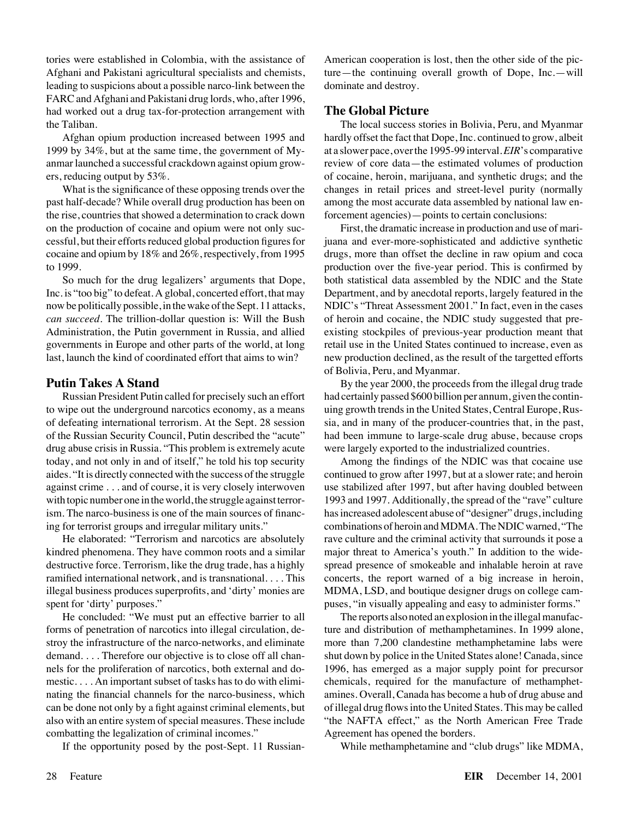Afghani and Pakistani agricultural specialists and chemists, ture—the continuing overall growth of Dope, Inc.—will leading to suspicions about a possible narco-link between the dominate and destroy. FARC and Afghani and Pakistani drug lords, who, after 1996, had worked out a drug tax-for-protection arrangement with **The Global Picture**

1999 by 34%, but at the same time, the government of My- at a slower pace, over the 1995-99 interval.*EIR*'s comparative anmar launched a successful crackdown against opium grow- review of core data—the estimated volumes of production ers, reducing output by 53%. of cocaine, heroin, marijuana, and synthetic drugs; and the

past half-decade? While overall drug production has been on among the most accurate data assembled by national law enthe rise, countries that showed a determination to crack down forcement agencies)—points to certain conclusions: on the production of cocaine and opium were not only suc- First, the dramatic increase in production and use of maricessful, but their efforts reduced global production figures for juana and ever-more-sophisticated and addictive synthetic cocaine and opium by 18% and 26%, respectively, from 1995 drugs, more than offset the decline in raw opium and coca

Inc. is "too big" to defeat. A global, concerted effort, that may Department, and by anecdotal reports, largely featured in the now be politically possible, in the wake of the Sept. 11 attacks, NDIC's "Threat Assessment 2001." In fact, even in the cases *can succeed.* The trillion-dollar question is: Will the Bush of heroin and cocaine, the NDIC study suggested that pre-Administration, the Putin government in Russia, and allied existing stockpiles of previous-year production meant that governments in Europe and other parts of the world, at long retail use in the United States continued to increase, even as last, launch the kind of coordinated effort that aims to win? new production declined, as the result of the targetted efforts

to wipe out the underground narcotics economy, as a means uing growth trends in the United States, Central Europe, Rusof defeating international terrorism. At the Sept. 28 session sia, and in many of the producer-countries that, in the past, of the Russian Security Council, Putin described the "acute" had been immune to large-scale drug abuse, because crops drug abuse crisis in Russia. "This problem is extremely acute were largely exported to the industrialized countries. today, and not only in and of itself," he told his top security Among the findings of the NDIC was that cocaine use aides. "It is directly connected with the success of the struggle continued to grow after 1997, but at a slower rate; and heroin against crime . . . and of course, it is very closely interwoven use stabilized after 1997, but after having doubled between with topic number one in the world, the struggle against terror-<br>1993 and 1997. Additionally, the spread of the "rave" culture ism. The narco-business is one of the main sources of financ- has increased adolescent abuse of "designer" drugs, including ing for terrorist groups and irregular military units." combinations of heroin and MDMA. The NDIC warned, "The

kindred phenomena. They have common roots and a similar major threat to America's youth." In addition to the widedestructive force. Terrorism, like the drug trade, has a highly spread presence of smokeable and inhalable heroin at rave ramified international network, and is transnational. . . This concerts, the report warned of a big increase in heroin, illegal business produces superprofits, and 'dirty' monies are MDMA, LSD, and boutique designer drugs on college camspent for 'dirty' purposes." puses, "in visually appealing and easy to administer forms."

forms of penetration of narcotics into illegal circulation, de- ture and distribution of methamphetamines. In 1999 alone, stroy the infrastructure of the narco-networks, and eliminate more than 7,200 clandestine methamphetamine labs were demand.... Therefore our objective is to close off all chan-<br>shut down by police in the United States alone! Canada, since nels for the proliferation of narcotics, both external and do- 1996, has emerged as a major supply point for precursor mestic. . . . An important subset of tasks has to do with elimi- chemicals, required for the manufacture of methamphetnating the financial channels for the narco-business, which amines. Overall, Canada has become a hub of drug abuse and can be done not only by a fight against criminal elements, but of illegal drug flows into the United States. This may be called also with an entire system of special measures. These include "the NAFTA effect," as the North American Free Trade combatting the legalization of criminal incomes." Agreement has opened the borders.

tories were established in Colombia, with the assistance of American cooperation is lost, then the other side of the pic-

the Taliban. The local success stories in Bolivia, Peru, and Myanmar Afghan opium production increased between 1995 and hardly offset the fact that Dope, Inc. continued to grow, albeit What is the significance of these opposing trends over the changes in retail prices and street-level purity (normally

to 1999. production over the five-year period. This is confirmed by So much for the drug legalizers' arguments that Dope, both statistical data assembled by the NDIC and the State of Bolivia, Peru, and Myanmar.

**Putin Takes A Stand** By the year 2000, the proceeds from the illegal drug trade Russian President Putin called for precisely such an effort had certainly passed \$600 billion per annum, given the contin-

He elaborated: "Terrorism and narcotics are absolutely rave culture and the criminal activity that surrounds it pose a

He concluded: "We must put an effective barrier to all The reports also noted an explosion in the illegal manufac-

If the opportunity posed by the post-Sept. 11 Russian- While methamphetamine and "club drugs" like MDMA,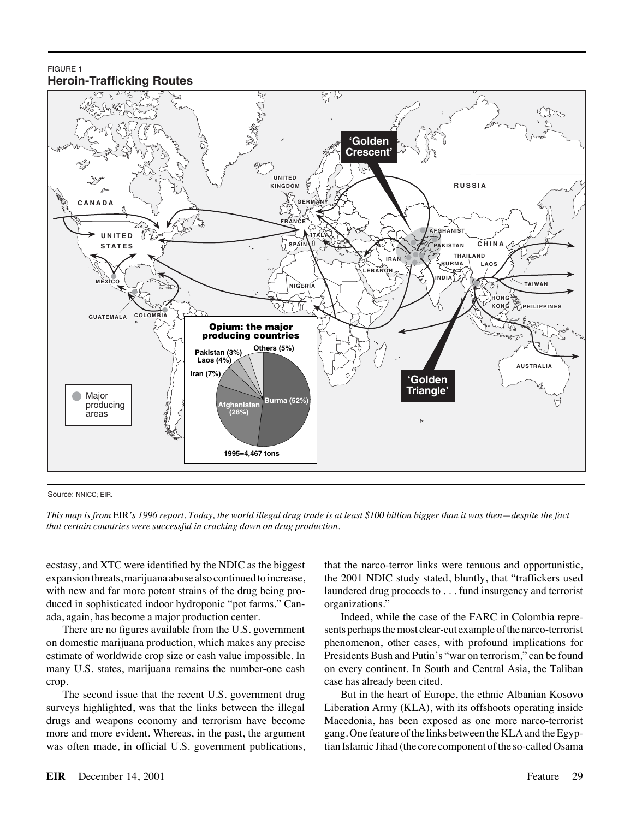### FIGURE 1 **Heroin-Trafficking Routes**



Source: NNICC; EIR.

*This map is from* EIR*'s 1996 report. Today, the world illegal drug trade is at least \$100 billion bigger than it was then—despite the fact that certain countries were successful in cracking down on drug production.*

duced in sophisticated indoor hydroponic "pot farms." Can- organizations." ada, again, has become a major production center. Indeed, while the case of the FARC in Colombia repre-

crop. case has already been cited.

surveys highlighted, was that the links between the illegal Liberation Army (KLA), with its offshoots operating inside drugs and weapons economy and terrorism have become Macedonia, has been exposed as one more narco-terrorist more and more evident. Whereas, in the past, the argument gang. One feature of the links between the KLA and the Egypwas often made, in official U.S. government publications, tian Islamic Jihad (the core component of the so-called Osama

ecstasy, and XTC were identified by the NDIC as the biggest that the narco-terror links were tenuous and opportunistic, expansion threats, marijuana abuse also continued to increase, the 2001 NDIC study stated, bluntly, that "traffickers used with new and far more potent strains of the drug being pro-<br>laundered drug proceeds to . . . fund insurgency and terrorist

There are no figures available from the U.S. government sents perhaps the most clear-cut example of the narco-terrorist on domestic marijuana production, which makes any precise phenomenon, other cases, with profound implications for estimate of worldwide crop size or cash value impossible. In Presidents Bush and Putin's "war on terrorism," can be found many U.S. states, marijuana remains the number-one cash on every continent. In South and Central Asia, the Taliban

The second issue that the recent U.S. government drug But in the heart of Europe, the ethnic Albanian Kosovo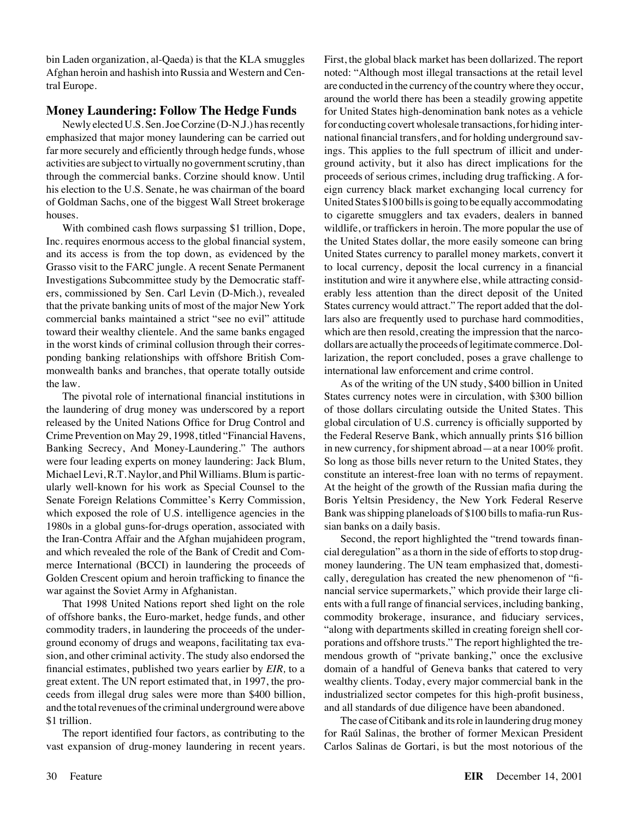bin Laden organization, al-Qaeda) is that the KLA smuggles First, the global black market has been dollarized. The report

emphasized that major money laundering can be carried out national financial transfers, and for holding underground savfar more securely and efficiently through hedge funds, whose ings. This applies to the full spectrum of illicit and underactivities are subject to virtually no government scrutiny, than ground activity, but it also has direct implications for the through the commercial banks. Corzine should know. Until proceeds of serious crimes, including drug trafficking. A forhis election to the U.S. Senate, he was chairman of the board eign currency black market exchanging local currency for of Goldman Sachs, one of the biggest Wall Street brokerage United States \$100 bills is going to be equally accommodating houses. to cigarette smugglers and tax evaders, dealers in banned

Inc. requires enormous access to the global financial system, the United States dollar, the more easily someone can bring and its access is from the top down, as evidenced by the United States currency to parallel money markets, convert it Grasso visit to the FARC jungle. A recent Senate Permanent to local currency, deposit the local currency in a financial Investigations Subcommittee study by the Democratic staff- institution and wire it anywhere else, while attracting considers, commissioned by Sen. Carl Levin (D-Mich.), revealed erably less attention than the direct deposit of the United that the private banking units of most of the major New York States currency would attract." The report added that the dolcommercial banks maintained a strict "see no evil" attitude lars also are frequently used to purchase hard commodities, toward their wealthy clientele. And the same banks engaged which are then resold, creating the impression that the narcoin the worst kinds of criminal collusion through their corres- dollars are actually the proceeds of legitimate commerce. Dolponding banking relationships with offshore British Com- larization, the report concluded, poses a grave challenge to monwealth banks and branches, that operate totally outside international law enforcement and crime control. the law. As of the writing of the UN study, \$400 billion in United

the laundering of drug money was underscored by a report of those dollars circulating outside the United States. This released by the United Nations Office for Drug Control and global circulation of U.S. currency is officially supported by Crime Prevention on May 29, 1998, titled "Financial Havens, the Federal Reserve Bank, which annually prints \$16 billion Banking Secrecy, And Money-Laundering." The authors in new currency, for shipment abroad—at a near 100% profit. were four leading experts on money laundering: Jack Blum, So long as those bills never return to the United States, they Michael Levi, R.T. Naylor, and Phil Williams. Blum is partic- constitute an interest-free loan with no terms of repayment. ularly well-known for his work as Special Counsel to the At the height of the growth of the Russian mafia during the Senate Foreign Relations Committee's Kerry Commission, Boris Yeltsin Presidency, the New York Federal Reserve which exposed the role of U.S. intelligence agencies in the Bank was shipping planeloads of \$100 bills to mafia-run Rus-1980s in a global guns-for-drugs operation, associated with sian banks on a daily basis. the Iran-Contra Affair and the Afghan mujahideen program, Second, the report highlighted the "trend towards finanand which revealed the role of the Bank of Credit and Com- cial deregulation" as a thorn in the side of efforts to stop drugmerce International (BCCI) in laundering the proceeds of money laundering. The UN team emphasized that, domesti-Golden Crescent opium and heroin trafficking to finance the cally, deregulation has created the new phenomenon of "fiwar against the Soviet Army in Afghanistan. The nancial service supermarkets," which provide their large cli-

of offshore banks, the Euro-market, hedge funds, and other commodity brokerage, insurance, and fiduciary services, commodity traders, in laundering the proceeds of the under- "along with departments skilled in creating foreign shell corground economy of drugs and weapons, facilitating tax eva- porations and offshore trusts." The report highlighted the tresion, and other criminal activity. The study also endorsed the mendous growth of "private banking," once the exclusive financial estimates, published two years earlier by *EIR,* to a domain of a handful of Geneva banks that catered to very great extent. The UN report estimated that, in 1997, the pro- wealthy clients. Today, every major commercial bank in the ceeds from illegal drug sales were more than \$400 billion, industrialized sector competes for this high-profit business, and the total revenues of the criminal underground were above and all standards of due diligence have been abandoned. \$1 trillion. The case of Citibank and its role in laundering drug money

vast expansion of drug-money laundering in recent years. Carlos Salinas de Gortari, is but the most notorious of the

Afghan heroin and hashish into Russia and Western and Cen- noted: "Although most illegal transactions at the retail level tral Europe. are conducted in the currency of the country where they occur, around the world there has been a steadily growing appetite **Money Laundering: Follow The Hedge Funds** for United States high-denomination bank notes as a vehicle Newly elected U.S. Sen. Joe Corzine (D-N.J.) has recently for conducting covert wholesale transactions, for hiding inter-With combined cash flows surpassing \$1 trillion, Dope, wildlife, or traffickers in heroin. The more popular the use of

The pivotal role of international financial institutions in States currency notes were in circulation, with \$300 billion

That 1998 United Nations report shed light on the role ents with a full range of financial services, including banking,

The report identified four factors, as contributing to the for Rau<sup>l</sup> Salinas, the brother of former Mexican President